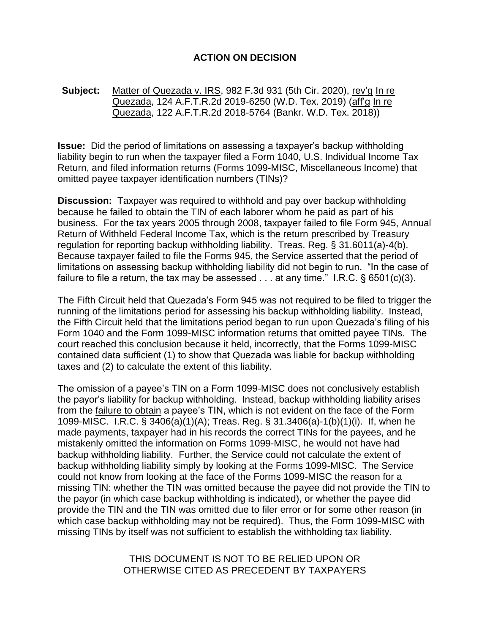## **ACTION ON DECISION**

## **Subject:** Matter of Quezada v. IRS, 982 F.3d 931 (5th Cir. 2020), rev'g In re Quezada, 124 A.F.T.R.2d 2019-6250 (W.D. Tex. 2019) (aff'g In re Quezada, 122 A.F.T.R.2d 2018-5764 (Bankr. W.D. Tex. 2018))

**Issue:** Did the period of limitations on assessing a taxpayer's backup withholding liability begin to run when the taxpayer filed a Form 1040, U.S. Individual Income Tax Return, and filed information returns (Forms 1099-MISC, Miscellaneous Income) that omitted payee taxpayer identification numbers (TINs)?

**Discussion:** Taxpayer was required to withhold and pay over backup withholding because he failed to obtain the TIN of each laborer whom he paid as part of his business. For the tax years 2005 through 2008, taxpayer failed to file Form 945, Annual Return of Withheld Federal Income Tax, which is the return prescribed by Treasury regulation for reporting backup withholding liability. Treas. Reg. § 31.6011(a)-4(b). Because taxpayer failed to file the Forms 945, the Service asserted that the period of limitations on assessing backup withholding liability did not begin to run. "In the case of failure to file a return, the tax may be assessed  $\ldots$  at any time." I.R.C. § 6501(c)(3).

The Fifth Circuit held that Quezada's Form 945 was not required to be filed to trigger the running of the limitations period for assessing his backup withholding liability. Instead, the Fifth Circuit held that the limitations period began to run upon Quezada's filing of his Form 1040 and the Form 1099-MISC information returns that omitted payee TINs. The court reached this conclusion because it held, incorrectly, that the Forms 1099-MISC contained data sufficient (1) to show that Quezada was liable for backup withholding taxes and (2) to calculate the extent of this liability.

The omission of a payee's TIN on a Form 1099-MISC does not conclusively establish the payor's liability for backup withholding. Instead, backup withholding liability arises from the failure to obtain a payee's TIN, which is not evident on the face of the Form 1099-MISC. I.R.C. § 3406(a)(1)(A); Treas. Reg. § 31.3406(a)-1(b)(1)(i). If, when he made payments, taxpayer had in his records the correct TINs for the payees, and he mistakenly omitted the information on Forms 1099-MISC, he would not have had backup withholding liability. Further, the Service could not calculate the extent of backup withholding liability simply by looking at the Forms 1099-MISC. The Service could not know from looking at the face of the Forms 1099-MISC the reason for a missing TIN: whether the TIN was omitted because the payee did not provide the TIN to the payor (in which case backup withholding is indicated), or whether the payee did provide the TIN and the TIN was omitted due to filer error or for some other reason (in which case backup withholding may not be required). Thus, the Form 1099-MISC with missing TINs by itself was not sufficient to establish the withholding tax liability.

> THIS DOCUMENT IS NOT TO BE RELIED UPON OR OTHERWISE CITED AS PRECEDENT BY TAXPAYERS